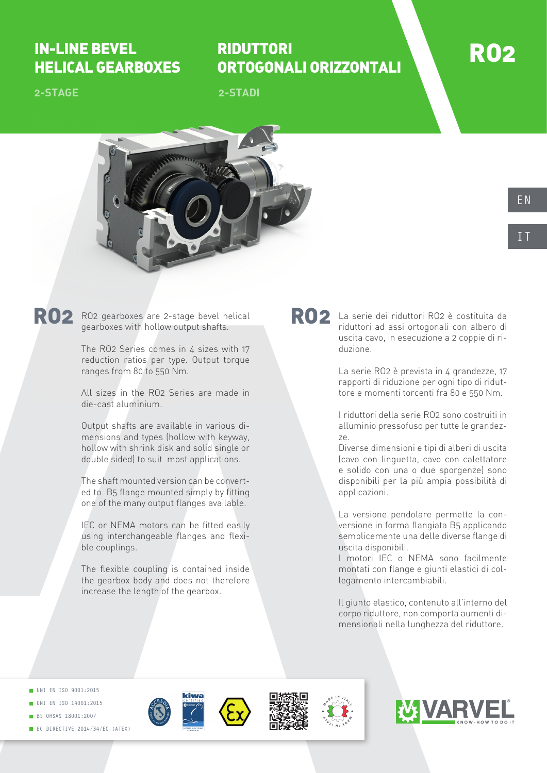## IN-LINE BEVEL HELICAL GEARBOXES

# RIDUTTORI ORTOGONALI ORIZZONTALI

**2-STADI**



**2-STAGE**



RO2 RO2 gearboxes are 2-stage bevel helical RO2 gearboxes with hollow output shafts.

> The RO2 Series comes in 4 sizes with 17 reduction ratios per type. Output torque ranges from 80 to 550 Nm.

> All sizes in the RO2 Series are made in die-cast aluminium.

> Output shafts are available in various dimensions and types (hollow with keyway, hollow with shrink disk and solid single or double sided) to suit most applications.

> The shaft mounted version can be converted to B5 flange mounted simply by fitting one of the many output flanges available.

> IEC or NEMA motors can be fitted easily using interchangeable flanges and flexible couplings.

> The flexible coupling is contained inside the gearbox body and does not therefore increase the length of the gearbox.

RO2 La serie dei riduttori RO2 è costituita da riduttori ad assi ortogonali con albero di uscita cavo, in esecuzione a 2 coppie di riduzione.

> La serie RO2 è prevista in 4 grandezze, 17 rapporti di riduzione per ogni tipo di riduttore e momenti torcenti fra 80 e 550 Nm.

> I riduttori della serie RO2 sono costruiti in alluminio pressofuso per tutte le grandezze.

> Diverse dimensioni e tipi di alberi di uscita (cavo con linguetta, cavo con calettatore e solido con una o due sporgenze) sono disponibili per la più ampia possibilità di applicazioni.

> La versione pendolare permette la conversione in forma flangiata B5 applicando semplicemente una delle diverse flange di uscita disponibili.

> I motori IEC o NEMA sono facilmente montati con flange e giunti elastici di collegamento intercambiabili.

> Il giunto elastico, contenuto all'interno del corpo riduttore, non comporta aumenti dimensionali nella lunghezza del riduttore.

UNI EN ISO 9001:2015

- UNI EN ISO 14001:2015
- **BS OHSAS 18001:2007**
- EC DIRECTIVE 2014/34/EC (ATEX)